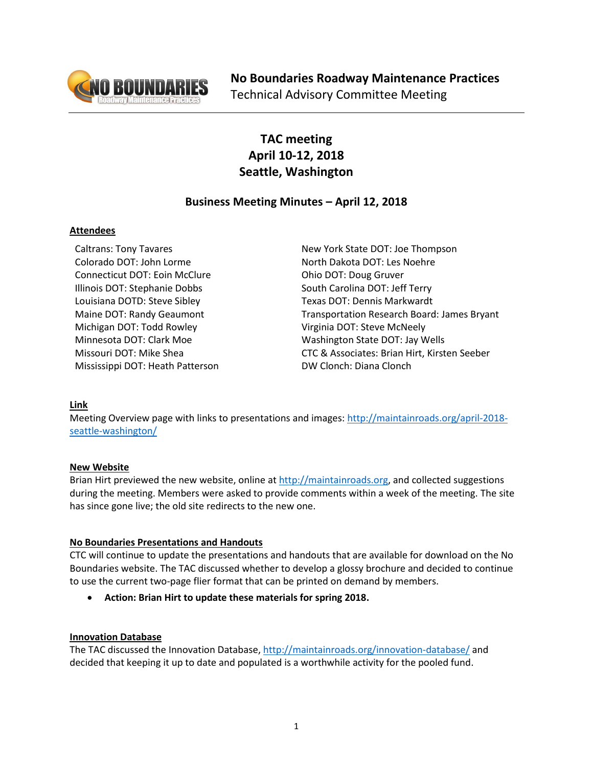

# **TAC meeting April 10-12, 2018 Seattle, Washington**

## **Business Meeting Minutes – April 12, 2018**

## **Attendees**

Caltrans: Tony Tavares Colorado DOT: John Lorme Connecticut DOT: Eoin McClure Illinois DOT: Stephanie Dobbs Louisiana DOTD: Steve Sibley Maine DOT: Randy Geaumont Michigan DOT: Todd Rowley Minnesota DOT: Clark Moe Missouri DOT: Mike Shea Mississippi DOT: Heath Patterson

New York State DOT: Joe Thompson North Dakota DOT: Les Noehre Ohio DOT: Doug Gruver South Carolina DOT: Jeff Terry Texas DOT: Dennis Markwardt Transportation Research Board: James Bryant Virginia DOT: Steve McNeely Washington State DOT: Jay Wells CTC & Associates: Brian Hirt, Kirsten Seeber DW Clonch: Diana Clonch

## **Link**

Meeting Overview page with links to presentations and images: [http://maintainroads.org/april-2018](http://maintainroads.org/april-2018-seattle-washington/) [seattle-washington/](http://maintainroads.org/april-2018-seattle-washington/)

## **New Website**

Brian Hirt previewed the new website, online at [http://maintainroads.org,](http://maintainroads.org/) and collected suggestions during the meeting. Members were asked to provide comments within a week of the meeting. The site has since gone live; the old site redirects to the new one.

## **No Boundaries Presentations and Handouts**

CTC will continue to update the presentations and handouts that are available for download on the No Boundaries website. The TAC discussed whether to develop a glossy brochure and decided to continue to use the current two-page flier format that can be printed on demand by members.

**Action: Brian Hirt to update these materials for spring 2018.**

## **Innovation Database**

The TAC discussed the Innovation Database[, http://maintainroads.org/innovation-database/](http://maintainroads.org/innovation-database/) and decided that keeping it up to date and populated is a worthwhile activity for the pooled fund.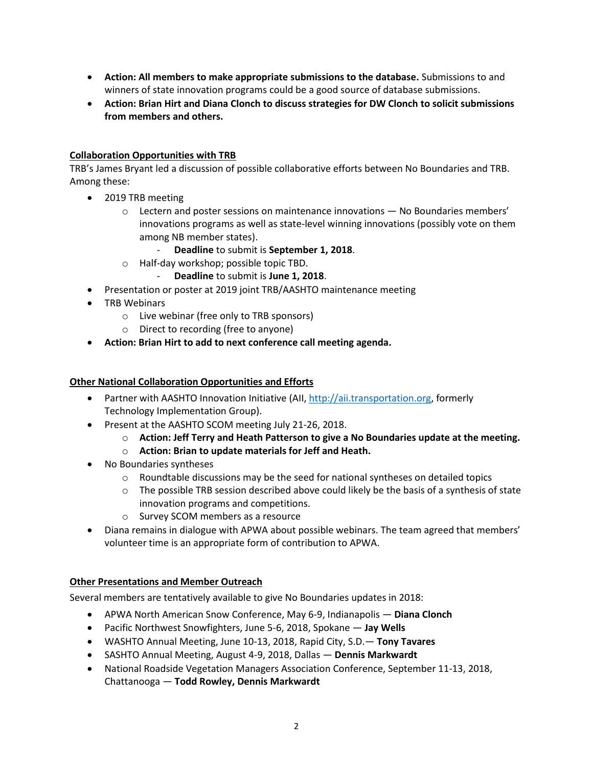- **Action: All members to make appropriate submissions to the database.** Submissions to and winners of state innovation programs could be a good source of database submissions.
- **Action: Brian Hirt and Diana Clonch to discuss strategies for DW Clonch to solicit submissions from members and others.**

## **Collaboration Opportunities with TRB**

TRB's James Bryant led a discussion of possible collaborative efforts between No Boundaries and TRB. Among these:

- 2019 TRB meeting
	- $\circ$  Lectern and poster sessions on maintenance innovations  $-$  No Boundaries members' innovations programs as well as state-level winning innovations (possibly vote on them among NB member states).
		- **Deadline** to submit is **September 1, 2018**.
	- o Half-day workshop; possible topic TBD.
		- **Deadline** to submit is **June 1, 2018**.
- Presentation or poster at 2019 joint TRB/AASHTO maintenance meeting
- TRB Webinars
	- o Live webinar (free only to TRB sponsors)
	- o Direct to recording (free to anyone)
- **Action: Brian Hirt to add to next conference call meeting agenda.**

#### **Other National Collaboration Opportunities and Efforts**

- Partner with AASHTO Innovation Initiative (AII, [http://aii.transportation.org,](http://aii.transportation.org/) formerly Technology Implementation Group).
- Present at the AASHTO SCOM meeting July 21-26, 2018.
	- o **Action: Jeff Terry and Heath Patterson to give a No Boundaries update at the meeting.**
	- o **Action: Brian to update materials for Jeff and Heath.**
- No Boundaries syntheses
	- $\circ$  Roundtable discussions may be the seed for national syntheses on detailed topics
	- $\circ$  The possible TRB session described above could likely be the basis of a synthesis of state innovation programs and competitions.
	- o Survey SCOM members as a resource
- Diana remains in dialogue with APWA about possible webinars. The team agreed that members' volunteer time is an appropriate form of contribution to APWA.

#### **Other Presentations and Member Outreach**

Several members are tentatively available to give No Boundaries updates in 2018:

- APWA North American Snow Conference, May 6-9, Indianapolis **Diana Clonch**
- Pacific Northwest Snowfighters, June 5-6, 2018, Spokane **Jay Wells**
- WASHTO Annual Meeting, June 10-13, 2018, Rapid City, S.D.— **Tony Tavares**
- SASHTO Annual Meeting, August 4-9, 2018, Dallas **Dennis Markwardt**
- National Roadside Vegetation Managers Association Conference, September 11-13, 2018, Chattanooga — **Todd Rowley, Dennis Markwardt**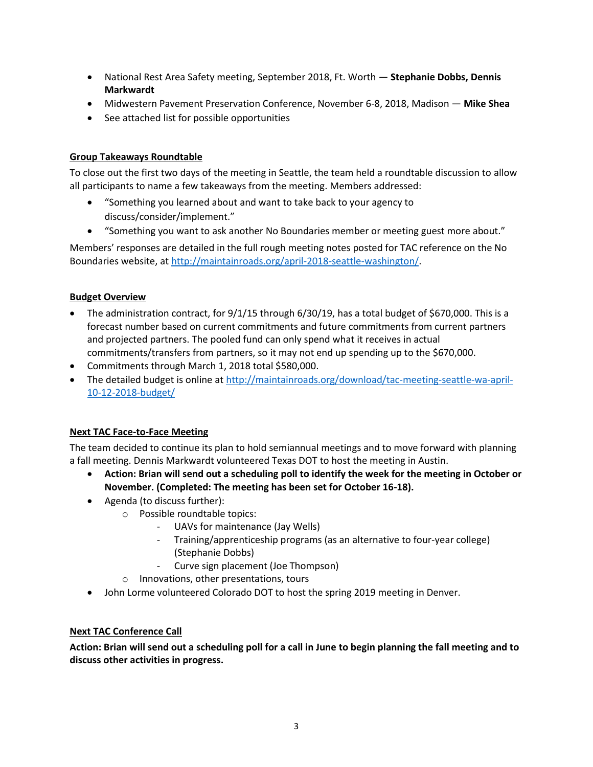- National Rest Area Safety meeting, September 2018, Ft. Worth **Stephanie Dobbs, Dennis Markwardt**
- Midwestern Pavement Preservation Conference, November 6-8, 2018, Madison **Mike Shea**
- See attached list for possible opportunities

## **Group Takeaways Roundtable**

To close out the first two days of the meeting in Seattle, the team held a roundtable discussion to allow all participants to name a few takeaways from the meeting. Members addressed:

- "Something you learned about and want to take back to your agency to discuss/consider/implement."
- "Something you want to ask another No Boundaries member or meeting guest more about."

Members' responses are detailed in the full rough meeting notes posted for TAC reference on the No Boundaries website, at [http://maintainroads.org/april-2018-seattle-washington/.](http://maintainroads.org/april-2018-seattle-washington/)

### **Budget Overview**

- The administration contract, for 9/1/15 through 6/30/19, has a total budget of \$670,000. This is a forecast number based on current commitments and future commitments from current partners and projected partners. The pooled fund can only spend what it receives in actual commitments/transfers from partners, so it may not end up spending up to the \$670,000.
- Commitments through March 1, 2018 total \$580,000.
- The detailed budget is online at [http://maintainroads.org/download/tac-meeting-seattle-wa-april-](http://maintainroads.org/download/tac-meeting-seattle-wa-april-10-12-2018-budget/)[10-12-2018-budget/](http://maintainroads.org/download/tac-meeting-seattle-wa-april-10-12-2018-budget/)

## **Next TAC Face-to-Face Meeting**

The team decided to continue its plan to hold semiannual meetings and to move forward with planning a fall meeting. Dennis Markwardt volunteered Texas DOT to host the meeting in Austin.

- **Action: Brian will send out a scheduling poll to identify the week for the meeting in October or November. (Completed: The meeting has been set for October 16-18).**
- Agenda (to discuss further):
	- o Possible roundtable topics:
		- UAVs for maintenance (Jay Wells)
		- Training/apprenticeship programs (as an alternative to four-year college) (Stephanie Dobbs)
		- Curve sign placement (Joe Thompson)
	- o Innovations, other presentations, tours
- John Lorme volunteered Colorado DOT to host the spring 2019 meeting in Denver.

#### **Next TAC Conference Call**

**Action: Brian will send out a scheduling poll for a call in June to begin planning the fall meeting and to discuss other activities in progress.**